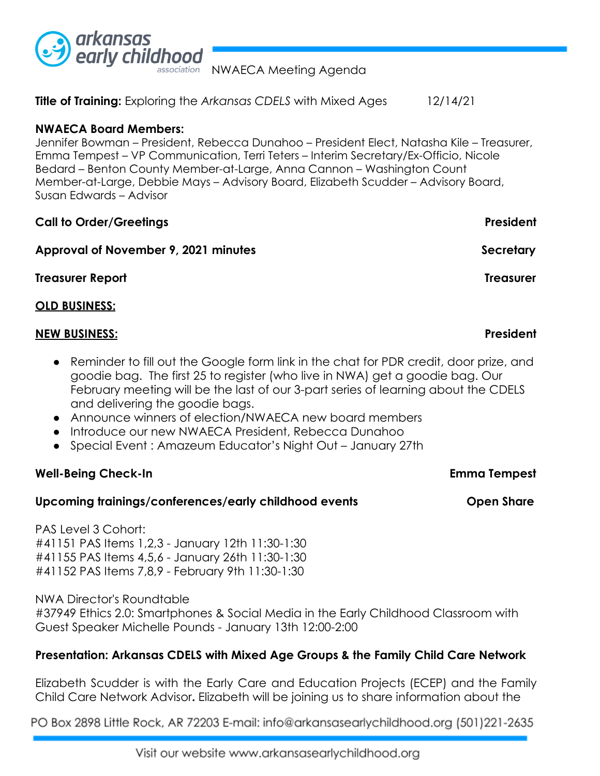

NWAECA Meeting Agenda

**Title of Training:** Exploring the *Arkansas CDELS* with Mixed Ages 12/14/21

## **NWAECA Board Members:**

Jennifer Bowman – President, Rebecca Dunahoo – President Elect, Natasha Kile – Treasurer, Emma Tempest – VP Communication, Terri Teters – Interim Secretary/Ex-Officio, Nicole Bedard – Benton County Member-at-Large, Anna Cannon – Washington Count Member-at-Large, Debbie Mays – Advisory Board, Elizabeth Scudder – Advisory Board, Susan Edwards – Advisor

| <b>Call to Order/Greetings</b>                  | President        |
|-------------------------------------------------|------------------|
| Approval of November 9, 2021 minutes            | Secretary        |
| <b>Treasurer Report</b><br><b>OLD BUSINESS:</b> | <b>Treasurer</b> |
|                                                 |                  |

## ● Reminder to fill out the Google form link in the chat for PDR credit, door prize, and goodie bag. The first 25 to register (who live in NWA) get a goodie bag. Our February meeting will be the last of our 3-part series of learning about the CDELS and delivering the goodie bags.

- Announce winners of election/NWAECA new board members
- Introduce our new NWAECA President, Rebecca Dunahoo
- Special Event : Amazeum Educator's Night Out January 27th

# **Well-Being Check-In Emma Tempest**

# Upcoming trainings/conferences/early childhood events **Open Share**

PAS Level 3 Cohort: #41151 PAS Items 1,2,3 - January 12th 11:30-1:30 #41155 PAS Items 4,5,6 - January 26th 11:30-1:30 #41152 PAS Items 7,8,9 - February 9th 11:30-1:30

NWA Director's Roundtable #37949 Ethics 2.0: Smartphones & Social Media in the Early Childhood Classroom with Guest Speaker Michelle Pounds - January 13th 12:00-2:00

# **Presentation: Arkansas CDELS with Mixed Age Groups & the Family Child Care Network**

Elizabeth Scudder is with the Early Care and Education Projects (ECEP) and the Family Child Care Network Advisor**.** Elizabeth will be joining us to share information about the

PO Box 2898 Little Rock, AR 72203 E-mail: info@arkansasearlychildhood.org (501)221-2635